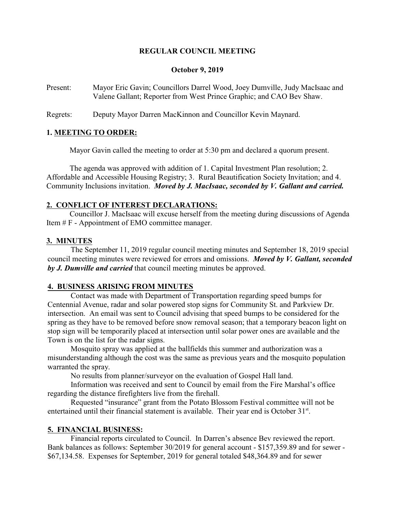## **REGULAR COUNCIL MEETING**

#### **October 9, 2019**

Present: Mayor Eric Gavin; Councillors Darrel Wood, Joey Dumville, Judy MacIsaac and Valene Gallant; Reporter from West Prince Graphic; and CAO Bev Shaw.

Regrets: Deputy Mayor Darren MacKinnon and Councillor Kevin Maynard.

### **1. MEETING TO ORDER:**

Mayor Gavin called the meeting to order at 5:30 pm and declared a quorum present.

The agenda was approved with addition of 1. Capital Investment Plan resolution; 2. Affordable and Accessible Housing Registry; 3. Rural Beautification Society Invitation; and 4. Community Inclusions invitation. *Moved by J. MacIsaac, seconded by V. Gallant and carried.*

#### **2. CONFLICT OF INTEREST DECLARATIONS:**

Councillor J. MacIsaac will excuse herself from the meeting during discussions of Agenda Item # F - Appointment of EMO committee manager.

#### **3. MINUTES**

The September 11, 2019 regular council meeting minutes and September 18, 2019 special council meeting minutes were reviewed for errors and omissions. *Moved by V. Gallant, seconded by J. Dumville and carried* that council meeting minutes be approved.

#### **4. BUSINESS ARISING FROM MINUTES**

Contact was made with Department of Transportation regarding speed bumps for Centennial Avenue, radar and solar powered stop signs for Community St. and Parkview Dr. intersection. An email was sent to Council advising that speed bumps to be considered for the spring as they have to be removed before snow removal season; that a temporary beacon light on stop sign will be temporarily placed at intersection until solar power ones are available and the Town is on the list for the radar signs.

Mosquito spray was applied at the ballfields this summer and authorization was a misunderstanding although the cost was the same as previous years and the mosquito population warranted the spray.

No results from planner/surveyor on the evaluation of Gospel Hall land.

Information was received and sent to Council by email from the Fire Marshal's office regarding the distance firefighters live from the firehall.

Requested "insurance" grant from the Potato Blossom Festival committee will not be entertained until their financial statement is available. Their year end is October 31<sup>st</sup>.

### **5. FINANCIAL BUSINESS:**

Financial reports circulated to Council. In Darren's absence Bev reviewed the report. Bank balances as follows: September 30/2019 for general account - \$157,359.89 and for sewer - \$67,134.58. Expenses for September, 2019 for general totaled \$48,364.89 and for sewer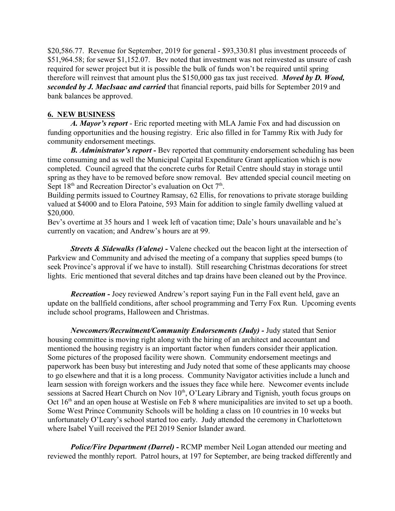\$20,586.77. Revenue for September, 2019 for general - \$93,330.81 plus investment proceeds of \$51,964.58; for sewer \$1,152.07. Bev noted that investment was not reinvested as unsure of cash required for sewer project but it is possible the bulk of funds won't be required until spring therefore will reinvest that amount plus the \$150,000 gas tax just received. *Moved by D. Wood, seconded by J. MacIsaac and carried* that financial reports, paid bills for September 2019 and bank balances be approved.

## **6. NEW BUSINESS**

*A. Mayor's report* - Eric reported meeting with MLA Jamie Fox and had discussion on funding opportunities and the housing registry. Eric also filled in for Tammy Rix with Judy for community endorsement meetings.

*B. Administrator's report -* Bev reported that community endorsement scheduling has been time consuming and as well the Municipal Capital Expenditure Grant application which is now completed. Council agreed that the concrete curbs for Retail Centre should stay in storage until spring as they have to be removed before snow removal. Bev attended special council meeting on Sept  $18<sup>th</sup>$  and Recreation Director's evaluation on Oct  $7<sup>th</sup>$ .

Building permits issued to Courtney Ramsay, 62 Ellis, for renovations to private storage building valued at \$4000 and to Elora Patoine, 593 Main for addition to single family dwelling valued at \$20,000.

Bev's overtime at 35 hours and 1 week left of vacation time; Dale's hours unavailable and he's currently on vacation; and Andrew's hours are at 99.

*Streets & Sidewalks (Valene) -* Valene checked out the beacon light at the intersection of Parkview and Community and advised the meeting of a company that supplies speed bumps (to seek Province's approval if we have to install). Still researching Christmas decorations for street lights. Eric mentioned that several ditches and tap drains have been cleaned out by the Province.

*Recreation -* Joey reviewed Andrew's report saying Fun in the Fall event held, gave an update on the ballfield conditions, after school programming and Terry Fox Run. Upcoming events include school programs, Halloween and Christmas.

*Newcomers/Recruitment/Community Endorsements (Judy) - Judy stated that Senior* housing committee is moving right along with the hiring of an architect and accountant and mentioned the housing registry is an important factor when funders consider their application. Some pictures of the proposed facility were shown. Community endorsement meetings and paperwork has been busy but interesting and Judy noted that some of these applicants may choose to go elsewhere and that it is a long process. Community Navigator activities include a lunch and learn session with foreign workers and the issues they face while here. Newcomer events include sessions at Sacred Heart Church on Nov 10<sup>th</sup>, O'Leary Library and Tignish, youth focus groups on Oct 16<sup>th</sup> and an open house at Westisle on Feb 8 where municipalities are invited to set up a booth. Some West Prince Community Schools will be holding a class on 10 countries in 10 weeks but unfortunately O'Leary's school started too early. Judy attended the ceremony in Charlottetown where Isabel Yuill received the PEI 2019 Senior Islander award.

*Police/Fire Department (Darrel) -* RCMP member Neil Logan attended our meeting and reviewed the monthly report. Patrol hours, at 197 for September, are being tracked differently and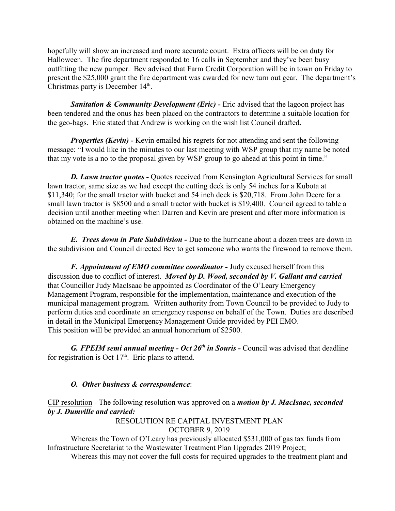hopefully will show an increased and more accurate count. Extra officers will be on duty for Halloween. The fire department responded to 16 calls in September and they've been busy outfitting the new pumper. Bev advised that Farm Credit Corporation will be in town on Friday to present the \$25,000 grant the fire department was awarded for new turn out gear. The department's Christmas party is December 14<sup>th</sup>.

**Sanitation & Community Development (Eric) - Eric advised that the lagoon project has** been tendered and the onus has been placed on the contractors to determine a suitable location for the geo-bags. Eric stated that Andrew is working on the wish list Council drafted.

*Properties (Kevin)* - Kevin emailed his regrets for not attending and sent the following message: "I would like in the minutes to our last meeting with WSP group that my name be noted that my vote is a no to the proposal given by WSP group to go ahead at this point in time."

**D. Lawn tractor quotes - Quotes received from Kensington Agricultural Services for small** lawn tractor, same size as we had except the cutting deck is only 54 inches for a Kubota at \$11,340; for the small tractor with bucket and 54 inch deck is \$20,718. From John Deere for a small lawn tractor is \$8500 and a small tractor with bucket is \$19,400. Council agreed to table a decision until another meeting when Darren and Kevin are present and after more information is obtained on the machine's use.

*E. Trees down in Pate Subdivision -* Due to the hurricane about a dozen trees are down in the subdivision and Council directed Bev to get someone who wants the firewood to remove them.

*F. Appointment of EMO committee coordinator -* Judy excused herself from this discussion due to conflict of interest. *Moved by D. Wood, seconded by V. Gallant and carried* that Councillor Judy MacIsaac be appointed as Coordinator of the O'Leary Emergency Management Program, responsible for the implementation, maintenance and execution of the municipal management program. Written authority from Town Council to be provided to Judy to perform duties and coordinate an emergency response on behalf of the Town. Duties are described in detail in the Municipal Emergency Management Guide provided by PEI EMO. This position will be provided an annual honorarium of \$2500.

G. FPEIM semi annual meeting - Oct 26<sup>th</sup> in Souris - Council was advised that deadline for registration is Oct  $17<sup>th</sup>$ . Eric plans to attend.

# *O. Other business & correspondence*:

CIP resolution - The following resolution was approved on a *motion by J. MacIsaac, seconded by J. Dumville and carried:*

RESOLUTION RE CAPITAL INVESTMENT PLAN OCTOBER 9, 2019

Whereas the Town of O'Leary has previously allocated \$531,000 of gas tax funds from Infrastructure Secretariat to the Wastewater Treatment Plan Upgrades 2019 Project;

Whereas this may not cover the full costs for required upgrades to the treatment plant and